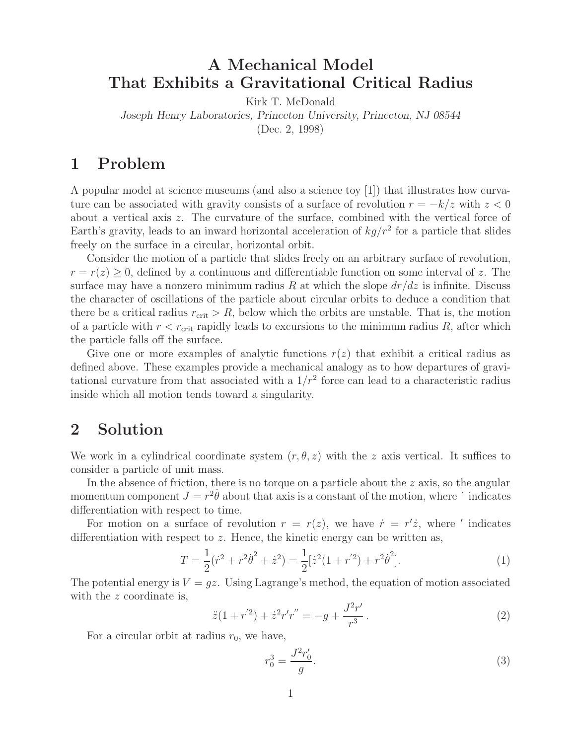## **A Mechanical Model That Exhibits a Gravitational Critical Radius**

Kirk T. McDonald

*Joseph Henry Laboratories, Princeton University, Princeton, NJ 08544*

(Dec. 2, 1998)

### **1 Problem**

A popular model at science museums (and also a science toy [1]) that illustrates how curvature can be associated with gravity consists of a surface of revolution  $r = -k/z$  with  $z < 0$ about a vertical axis z. The curvature of the surface, combined with the vertical force of Earth's gravity, leads to an inward horizontal acceleration of  $kg/r^2$  for a particle that slides freely on the surface in a circular, horizontal orbit.

Consider the motion of a particle that slides freely on an arbitrary surface of revolution,  $r = r(z) \geq 0$ , defined by a continuous and differentiable function on some interval of z. The surface may have a nonzero minimum radius R at which the slope  $dr/dz$  is infinite. Discuss the character of oscillations of the particle about circular orbits to deduce a condition that there be a critical radius  $r_{\text{crit}} > R$ , below which the orbits are unstable. That is, the motion of a particle with  $r < r_{\text{crit}}$  rapidly leads to excursions to the minimum radius R, after which the particle falls off the surface.

Give one or more examples of analytic functions  $r(z)$  that exhibit a critical radius as defined above. These examples provide a mechanical analogy as to how departures of gravitational curvature from that associated with a  $1/r^2$  force can lead to a characteristic radius inside which all motion tends toward a singularity.

#### **2 Solution**

We work in a cylindrical coordinate system  $(r, \theta, z)$  with the z axis vertical. It suffices to consider a particle of unit mass.

In the absence of friction, there is no torque on a particle about the  $z$  axis, so the angular momentum component  $J = r^2 \dot{\theta}$  about that axis is a constant of the motion, where  $\dot{\theta}$  indicates differentiation with respect to time.

For motion on a surface of revolution  $r = r(z)$ , we have  $\dot{r} = r'\dot{z}$ , where ' indicates differentiation with respect to z. Hence, the kinetic energy can be written as,

$$
T = \frac{1}{2}(\dot{r}^2 + r^2\dot{\theta}^2 + \dot{z}^2) = \frac{1}{2}[\dot{z}^2(1+r^2) + r^2\dot{\theta}^2].\tag{1}
$$

The potential energy is  $V = gz$ . Using Lagrange's method, the equation of motion associated with the z coordinate is,

$$
\ddot{z}(1+r^{'2}) + \dot{z}^2r'r'' = -g + \frac{J^2r'}{r^3}.
$$
\n(2)

For a circular orbit at radius  $r_0$ , we have,

$$
r_0^3 = \frac{J^2 r'_0}{g}.\tag{3}
$$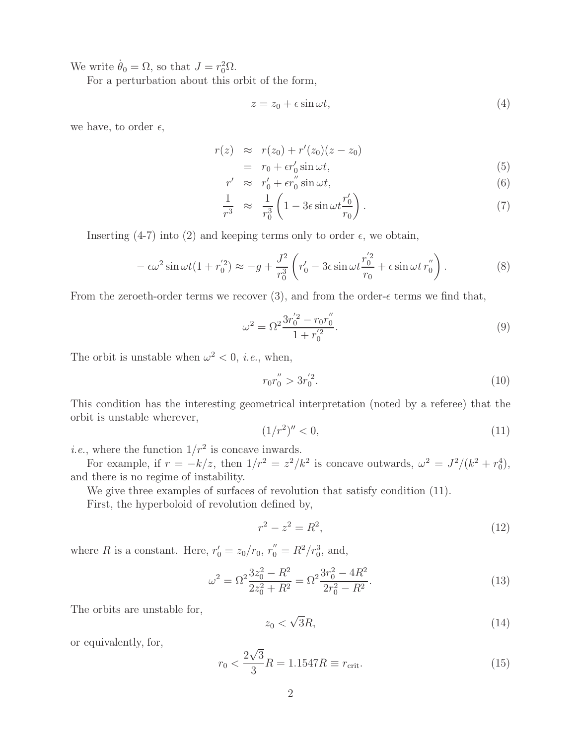We write  $\dot{\theta}_0 = \Omega$ , so that  $J = r_0^2 \Omega$ .

For a perturbation about this orbit of the form,

$$
z = z_0 + \epsilon \sin \omega t, \tag{4}
$$

we have, to order  $\epsilon$ ,

$$
r(z) \approx r(z_0) + r'(z_0)(z - z_0)
$$
  
=  $r_0 + \epsilon r'_0 \sin \omega t,$  (5)

$$
r' \approx r'_0 + \epsilon r''_0 \sin \omega t, \tag{6}
$$

$$
\frac{1}{r^3} \approx \frac{1}{r_0^3} \left( 1 - 3\epsilon \sin \omega t \frac{r_0'}{r_0} \right). \tag{7}
$$

Inserting (4-7) into (2) and keeping terms only to order  $\epsilon$ , we obtain,

$$
-\epsilon \omega^2 \sin \omega t (1 + r_0^{'2}) \approx -g + \frac{J^2}{r_0^3} \left( r_0' - 3\epsilon \sin \omega t \frac{r_0^{'2}}{r_0} + \epsilon \sin \omega t \, r_0'' \right). \tag{8}
$$

From the zeroeth-order terms we recover  $(3)$ , and from the order- $\epsilon$  terms we find that,

$$
\omega^2 = \Omega^2 \frac{3r_0^{'2} - r_0r_0^{''}}{1 + r_0^{'2}}.\tag{9}
$$

The orbit is unstable when  $\omega^2 < 0$ , *i.e.*, when,

$$
r_0r_0'' > 3r_0'^2. \tag{10}
$$

This condition has the interesting geometrical interpretation (noted by a referee) that the orbit is unstable wherever,

$$
(1/r^2)'' < 0,\t(11)
$$

*i.e.*, where the function  $1/r^2$  is concave inwards.

For example, if  $r = -k/z$ , then  $1/r^2 = z^2/k^2$  is concave outwards,  $\omega^2 = J^2/(k^2 + r_0^4)$ , and there is no regime of instability.

We give three examples of surfaces of revolution that satisfy condition (11).

First, the hyperboloid of revolution defined by,

$$
r^2 - z^2 = R^2,\t\t(12)
$$

where R is a constant. Here,  $r'_0 = z_0/r_0$ ,  $r''_0 = R^2/r_0^3$ , and,

$$
\omega^2 = \Omega^2 \frac{3z_0^2 - R^2}{2z_0^2 + R^2} = \Omega^2 \frac{3r_0^2 - 4R^2}{2r_0^2 - R^2}.
$$
\n(13)

The orbits are unstable for,

$$
z_0 < \sqrt{3}R,\tag{14}
$$

or equivalently, for,

$$
r_0 < \frac{2\sqrt{3}}{3}R = 1.1547R \equiv r_{\text{crit}}.\tag{15}
$$